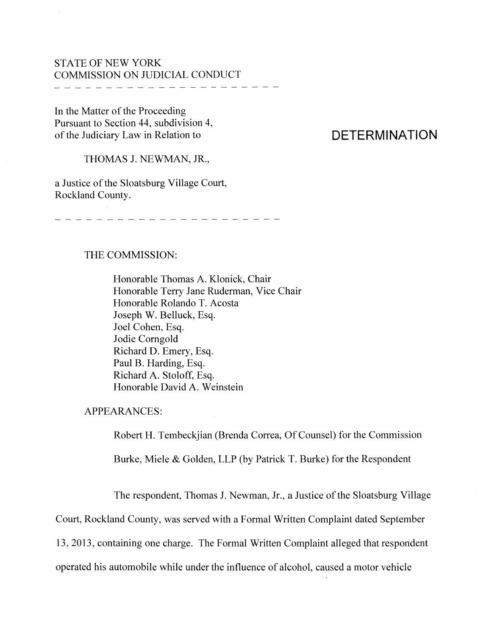## STATE OF NEW YORK COMMISSION ON JUDICIAL CONDUCT

In the Matter of the Proceeding Pursuant to Section 44, subdivision 4, of the Judiciary Law in Relation to

# **DETERMINATION**

THOMAS J. NEWMAN, JR.,

a Justice of the Sloatsburg Village Court, Rockland County.

#### THE COMMISSION:

Honorable Thomas A. Klonick, Chair Honorable Terry Jane Ruderman, Vice Chair Honorable Rolando T. Acosta Joseph W. Belluck, Esq. Joel Cohen, Esq. Jodie Comgold Richard D. Emery, Esq. Paul B. Harding, Esq. Richard A. Stoloff, Esq. Honorable David A. Weinstein

APPEARANCES:

Robert H. Tembeckjian (Brenda Correa, Of Counsel) for the Commission

Burke, Miele & Golden, LLP (by Patrick T. Burke) for the Respondent

The respondent, Thomas J. Newman, Jr., a Justice of the Sloatsburg Village

Court, Rockland County, was served with a Fonnal Written Complaint dated September

13, 2013, containing one charge. The Formal Written Complaint alleged that respondent

operated his automobile while under the influence of alcohol, caused a motor vehicle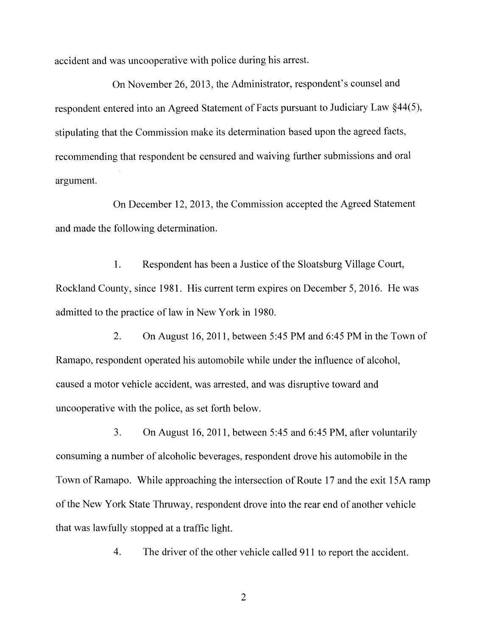accident and was uncooperative with police during his arrest.

On November 26, 2013, the Administrator, respondent's counsel and respondent entered into an Agreed Statement of Facts pursuant to Judiciary Law §44(5), stipulating that the Commission make its determination based upon the agreed facts, recommending that respondent be censured and waiving further submissions and oral argument.

On December 12, 2013, the Commission accepted the Agreed Statement and made the following determination.

1. Respondent has been a Justice of the Sloatsburg Village Court, Rockland County, since 1981. His current term expires on December 5, 2016. He was admitted to the practice of law in New York in 1980.

2. On August 16,2011, between 5:45 PM and 6:45 PM in the Town of Ramapo, respondent operated his automobile while under the influence of alcohol, caused a motor vehicle accident, was arrested, and was disruptive toward and uncooperative with the police, as set forth below.

3. On August 16,2011, between 5:45 and 6:45 PM, after voluntarily consuming a number of alcoholic beverages, respondent drove his automobile in the Town of Ramapo. While approaching the intersection of Route 17 and the exit 15A ramp of the New York State Thruway, respondent drove into the rear end of another vehicle that was lawfully stopped at a traffic light.

4. The driver of the other vehicle called 911 to report the accident.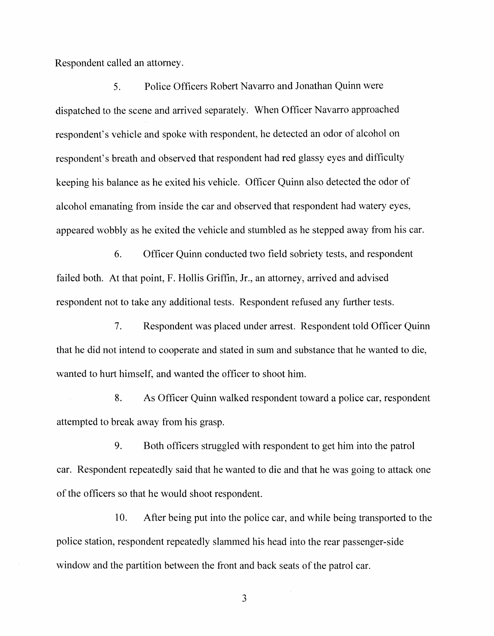Respondent called an attorney.

5. Police Officers Robert Navarro and Jonathan Quinn were dispatched to the scene and arrived separately. When Officer Navarro approached respondent's vehicle and spoke with respondent, he detected an odor of alcohol on respondent's breath and observed that respondent had red glassy eyes and difficulty keeping his balance as he exited his vehicie. Officer Quinn also detected the odor of alcohol emanating from inside the car and observed that respondent had watery eyes, appeared wobbly as he exited the vehicle and stumbled as he stepped away from his car.

6. Officer Quinn conducted two field sobriety tests, and respondent failed both. At that point, F. Hollis Griffin, Jr., an attorney, arrived and advised respondent not to take any additional tests. Respondent refused any further tests.

7. Respondent was placed under arrest. Respondent told Officer Quinn that he did not intend to cooperate and stated in sum and substance that he wanted to die, wanted to hurt himself, and wanted the officer to shoot him.

8. As Officer Quinn walked respondent toward a police car, respondent attempted to break away from his grasp.

9. Both officers struggled with respondent to get him into the patrol car. Respondent repeatedly said that he wanted to die and that he was going to attack one of the officers so that he would shoot respondent.

10. After being put into the police car, and while being transported to the police station, respondent repeatedly slammed his head into the rear passenger-side window and the partition between the front and back seats of the patrol car.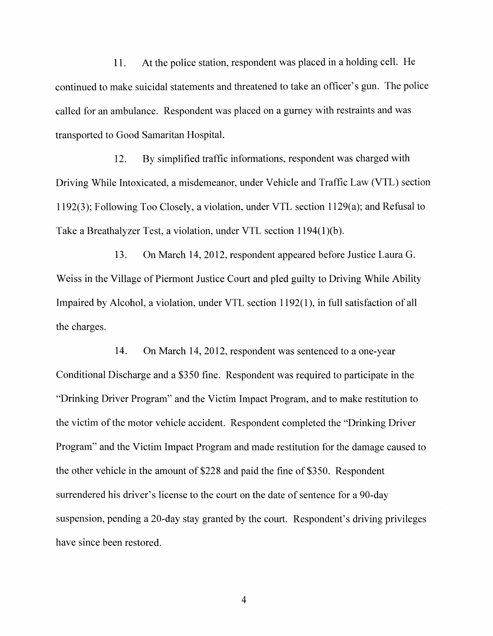11. At the police station, respondent was placed in a holding cell. He continued to make suicidal statements and threatened to take an officer's gun. The police called for an ambulance. Respondent was placed on a gurney with restraints and was transported to Good Samaritan Hospital.

12. By simplified traffic informations, respondent was charged with Driving While Intoxicated, a misdemeanor, under Vehicle and Traffic Law (VTL) section 1192(3); Following Too Closely, a violation, under VTL section l129(a); and Refusal to Take a Breathalyzer Test, a violation, under VTL section 1194(1)(b).

13. On March 14, 2012, respondent appeared before Justice Laura G. Weiss in the Village of Piermont Justice Court and pled guilty to Driving While Ability Impaired by Alcohol, a violation, under VTL section 1192(1), in full satisfaction of all the charges.

14. On March 14, 2012, respondent was sentenced to a one-year Conditional Discharge and a \$350 fine. Respondent was required to participate in the "Drinking Driver Program" and the Victim Impact Program, and to make restitution to the victim of the motor vehicle accident. Respondent completed the "Drinking Driver" Program" and the Victim Impact Program and made restitution for the damage caused to the other vehicle in the amount of \$228 and paid the fine of \$350. Respondent surrendered his driver's license to the court on the date of sentence for a 90-day suspension, pending a 20-day stay granted by the court. Respondent's driving privileges have since been restored.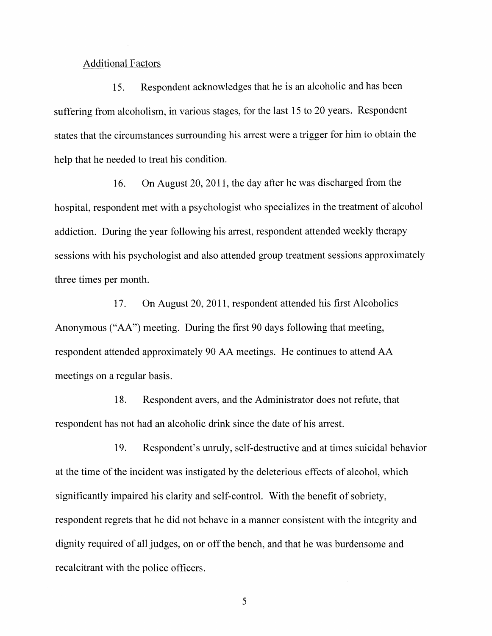#### Additional Factors

15. Respondent acknowledges that he is an alcoholic and has been suffering from alcoholism, in various stages, for the last 15 to 20 years. Respondent states that the circumstances surrounding his arrest were a trigger for him to obtain the help that he needed to treat his condition.

16. On August 20, 2011, the day after he was discharged from the hospital, respondent met with a psychologist who specializes in the treatment of alcohol addiction. During the year following his arrest, respondent attended weekly therapy sessions with his psychologist and also attended group treatment sessions approximately three times per month.

17. On August 20, 2011, respondent attended his first Alcoholics Anonymous ("AA") meeting. During the first 90 days following that meeting, respondent attended approximately 90 AA meetings. He continues to attend AA meetings on a regular basis.

18. Respondent avers, and the Administrator does not refute, that respondent has not had an alcoholic drink since the date of his arrest.

19. Respondent's unruly, self-destructive and at times suicidal behavior at the time of the incident was instigated by the deleterious effects of alcohol, which significantly impaired his clarity and self-control. With the benefit of sobriety, respondent regrets that he did not behave in a manner consistent with the integrity and dignity required of all judges, on or off the bench, and that he was burdensome and recalcitrant with the police officers.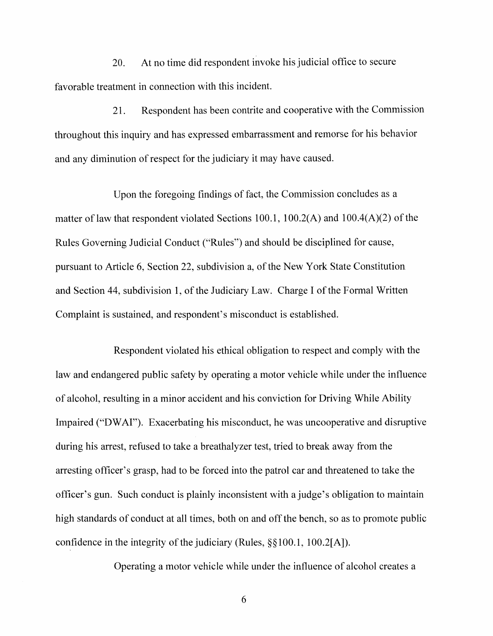20. At no time did respondent invoke his judicial office to secure favorable treatment in connection with this incident.

21. Respondent has been contrite and cooperative with the Commission throughout this inquiry and has expressed embarrassment and remorse for his behavior and any diminution of respect for the judiciary it may have caused.

Upon the foregoing findings of fact, the Commission concludes as a matter of law that respondent violated Sections 100.1, 100.2(A) and 100.4(A)(2) of the Rules Governing Judicial Conduct ("Rules") and should be disciplined for cause, pursuant to Article 6, Section 22, subdivision a, of the New York State Constitution and Section 44, subdivision 1, of the Judiciary Law. Charge I of the Formal Written Complaint is sustained, and respondent's misconduct is established.

Respondent violated his ethical obligation to respect and comply with the law and endangered public safety by operating a motor vehicle while under the influence of alcohol, resulting in a minor accident and his conviction for Driving While Ability Impaired ("DWAI"). Exacerbating his misconduct, he was uncooperative and disruptive during his arrest, refused to take a breathalyzer test, tried to break away from the arresting officer's grasp, had to be forced into the patrol car and threatened to take the officer's gun. Such conduct is plainly inconsistent with a judge's obligation to maintain high standards of conduct at all times, both on and off the bench, so as to promote public confidence in the integrity of the judiciary (Rules,  $\S$ §100.1, 100.2[A]).

Operating a motor vehicle while under the influence of alcohol creates a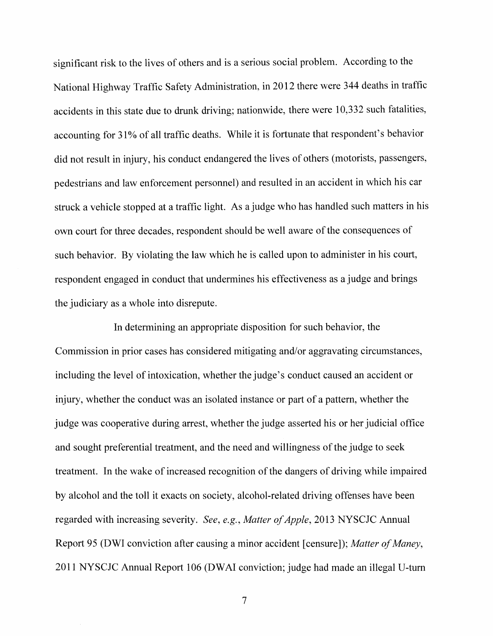significant risk to the lives of others and is a serious social problem. According to the National Highway Traffic Safety Administration, in 2012 there were 344 deaths in traffic accidents in this state due to drunk driving; nationwide, there were 10,332 such fatalities, accounting for 31% of all traffic deaths. While it is fortunate that respondent's behavior did not result in injury, his conduct endangered the lives of others (motorists, passengers, pedestrians and law enforcement personnei) and resulted in an accident in which his car struck a vehicle stopped at a traffic light. As a judge who has handled such matters in his own court for three decades, respondent should be well aware of the consequences of such behavior. By violating the law which he is called upon to administer in his court, respondent engaged in conduct that undermines his effectiveness as a judge and brings the judiciary as a whole into disrepute.

In determining an appropriate disposition for such behavior, the Commission in prior cases has considered mitigating and/or aggravating circumstances, including the level of intoxication, whether the judge's conduct caused an accident or injury, whether the conduct was an isolated instance or part of a pattern, whether the judge was cooperative during arrest, whether the judge asserted his or her judicial office and sought preferential treatment, and the need and willingness of the judge to seek treatment. In the wake of increased recognition of the dangers of driving while impaired by alcohol and the toll it exacts on society, alcohol-related driving offenses have been regarded with increasing severity. *See, e.g., Matter of Apple,* 2013 NYSCJC Annual Report 95 (DWI conviction after causing a minor accident [censure]); Matter of Maney, 2011 NYSCJC Annual Report 106 (DWAI conviction; judge had made an illegal V-turn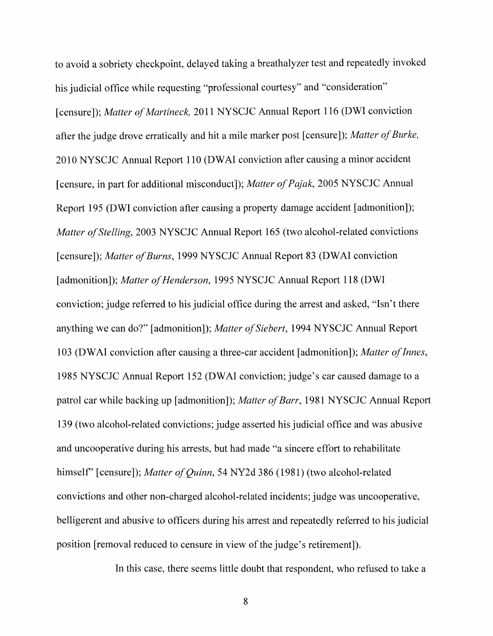to avoid a sobriety checkpoint, delayed taking a breathalyzer test and repeatedly invoked his judicial office while requesting "professional courtesy" and "consideration" [censure]); *Matter of Martineck*, 2011 NYSCJC Annual Report 116 (DWI conviction after the judge drove erratically and hit a mile marker post [censure]); *Matter of Burke,* 2010 NYSCJC Annual Report 110 (DWAI conviction after causing a minor accident [censure, in part for additional misconduct]); *Matter of Pajak*, 2005 NYSCJC Annual Report 195 (DWI conviction after causing a property damage accident [admonition]); *Matter of Stelling, 2003 NYSCJC Annual Report 165 (two alcohol-related convictions* [censure]); Matter of Burns, 1999 NYSCJC Annual Report 83 (DWAI conviction [admonition]); *Matter of Henderson*, 1995 NYSCJC Annual Report 118 (DWI conviction; judge referred to his judicial office during the arrest and asked, "Isn't there anything we can do?" [admonition]); *Matter of Siebert*, 1994 NYSCJC Annual Report 103 (DWAI conviction after causing a three-car accident [admonition]); *Matter ofInnes*, 1985 NYSCJC Annual Report 152 (DWAI conviction; judge's car caused damage to a patrol car while backing up [admonition]); *Matter of Barr*, 1981 NYSCJC Annual Report 139 (two alcohol-related convictions; judge asserted his judicial office and was abusive and uncooperative during his arrests, but had made "a sincere effort to rehabilitate himself" [censure]); *Matter of Quinn*, 54 NY2d 386 (1981) (two alcohol-related convictions and other non-charged alcohol-related incidents; judge was uncooperative, belligerent and abusive to officers during his arrest and repeatedly referred to his judicial position [removal reduced to censure in view of the judge's retirement]).

In this case, there seems little doubt that respondent, who refused to take a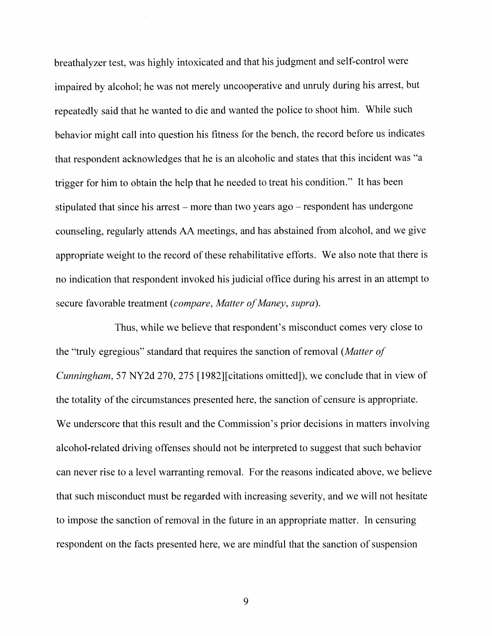breathalyzer test, was highly intoxicated and that his judgment and self-control were impaired by alcohol; he was not merely uncooperative and unruly during his arrest, but repeatedly said that he wanted to die and wanted the police to shoot him. While such behavior might call into question his fitness for the bench, the record before us indicates that respondent acknowledges that he is an alcoholic and states that this incident was "a trigger for him to obtain the help that he needed to treat his condition." It has been stipulated that since his arrest – more than two years  $ago$  – respondent has undergone counseling, regularly attends AA meetings, and has abstained from alcohol, and we give appropriate weight to the record of these rehabilitative efforts. We also note that there is no indication that respondent invoked his judicial office during his arrest in an attempt to secure favorable treatment (compare, Matter of Maney, supra).

Thus, while we believe that respondent's misconduct comes very close to the "truly egregious" standard that requires the sanction ofremoval *(Matter of Cunningham,* 57 NY2d 270, 275 [1982][citations omitted]), we conclude that in view of the totality of the circumstances presented here, the sanction of censure is appropriate. We underscore that this result and the Commission's prior decisions in matters involving alcohol-related driving offenses should not be interpreted to suggest that such behavior can never rise to a level warranting removal. For the reasons indicated above, we believe that such misconduct must be regarded with increasing severity, and we will not hesitate to impose the sanction of removal in the future in an appropriate matter. In censuring respondent on the facts presented here, we are mindful that the sanction of suspension